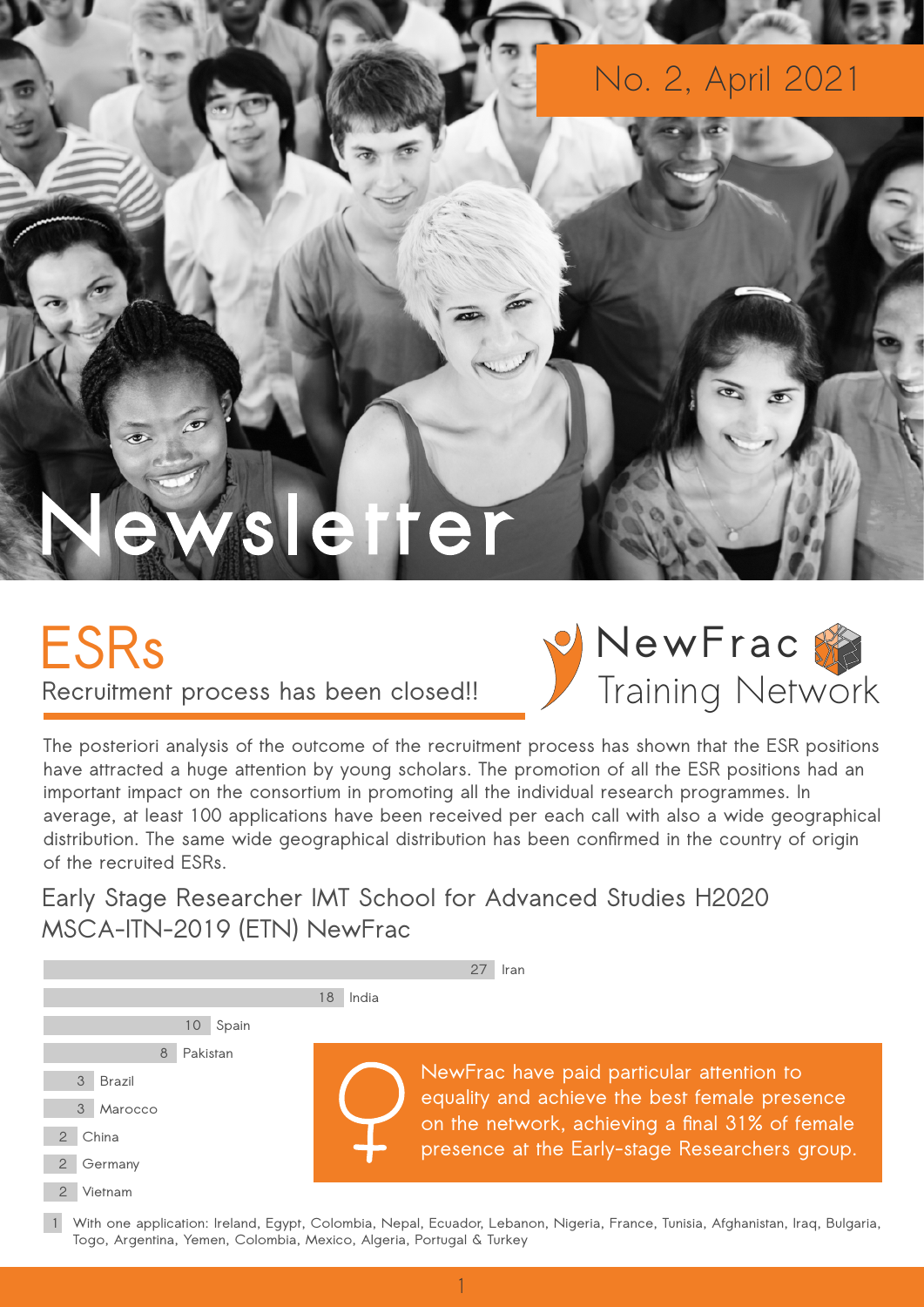### No. 2, April 2021

# sletter

 $\overline{z}$ 

#### **Recruitment process has been closed!! ESRs**



**The posteriori analysis of the outcome of the recruitment process has shown that the ESR positions have attracted a huge attention by young scholars. The promotion of all the ESR positions had an important impact on the consortium in promoting all the individual research programmes. In average, at least 100 applications have been received per each call with also a wide geographical distribution. The same wide geographical distribution has been confirmed in the country of origin of the recruited ESRs.**

**Early Stage Researcher IMT School for Advanced Studies H2020 MSCA-ITN-2019 (ETN) NewFrac**

|                                                                                                                                                                                                         |             | 27<br>Iran                                                                                                                                                                                      |
|---------------------------------------------------------------------------------------------------------------------------------------------------------------------------------------------------------|-------------|-------------------------------------------------------------------------------------------------------------------------------------------------------------------------------------------------|
|                                                                                                                                                                                                         | 18<br>India |                                                                                                                                                                                                 |
| 10 <sup>°</sup>                                                                                                                                                                                         | Spain       |                                                                                                                                                                                                 |
| Pakistan<br>8                                                                                                                                                                                           |             |                                                                                                                                                                                                 |
| 3<br>Brazil                                                                                                                                                                                             |             | NewFrac have paid particular attention to<br>equality and achieve the best female presence<br>on the network, achieving a final 31% of female<br>presence at the Early-stage Researchers group. |
| 3<br>Marocco                                                                                                                                                                                            |             |                                                                                                                                                                                                 |
| China<br>$2^{\circ}$                                                                                                                                                                                    |             |                                                                                                                                                                                                 |
| $2^{\circ}$<br>Germany                                                                                                                                                                                  |             |                                                                                                                                                                                                 |
| 2 Vietnam                                                                                                                                                                                               |             |                                                                                                                                                                                                 |
| With one application: Ireland, Egypt, Colombia, Nepal, Ecuador, Lebanon, Nigeria, France, Tunisia, Afghanistan, Iraq, Bulgaria,<br>Togo, Argentina, Yemen, Colombia, Mexico, Algeria, Portugal & Turkey |             |                                                                                                                                                                                                 |

1